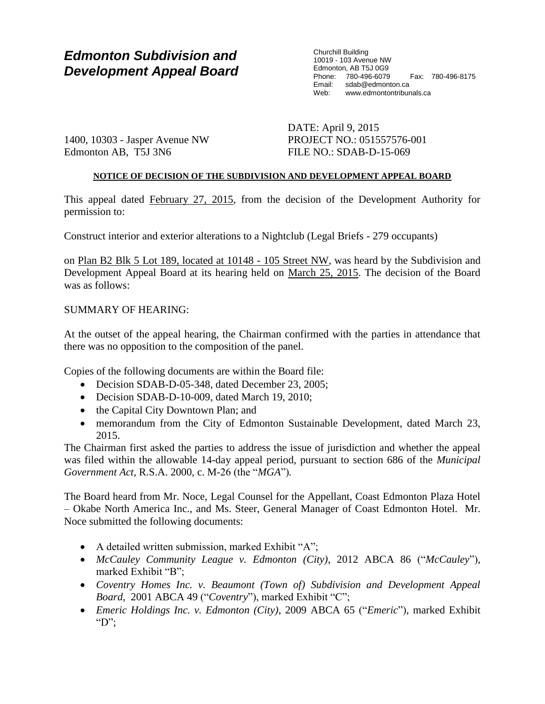# *Edmonton Subdivision and Development Appeal Board*

Churchill Building 10019 - 103 Avenue NW Edmonton, AB T5J 0G9 Phone: 780-496-6079 Fax: 780-496-8175 sdab@edmonton.ca Web: www.edmontontribunals.ca

1400, 10303 - Jasper Avenue NW Edmonton AB, T5J 3N6

DATE: April 9, 2015 PROJECT NO.: 051557576-001 FILE NO.: SDAB-D-15-069

## **NOTICE OF DECISION OF THE SUBDIVISION AND DEVELOPMENT APPEAL BOARD**

This appeal dated February 27, 2015, from the decision of the Development Authority for permission to:

Construct interior and exterior alterations to a Nightclub (Legal Briefs - 279 occupants)

on Plan B2 Blk 5 Lot 189, located at 10148 - 105 Street NW, was heard by the Subdivision and Development Appeal Board at its hearing held on March 25, 2015. The decision of the Board was as follows:

## SUMMARY OF HEARING:

At the outset of the appeal hearing, the Chairman confirmed with the parties in attendance that there was no opposition to the composition of the panel.

Copies of the following documents are within the Board file:

- Decision SDAB-D-05-348, dated December 23, 2005;
- Decision SDAB-D-10-009, dated March 19, 2010;
- the Capital City Downtown Plan; and
- memorandum from the City of Edmonton Sustainable Development, dated March 23, 2015.

The Chairman first asked the parties to address the issue of jurisdiction and whether the appeal was filed within the allowable 14-day appeal period, pursuant to section 686 of the *Municipal Government Act*, R.S.A. 2000, c. M-26 (the "*MGA*")*.*

The Board heard from Mr. Noce, Legal Counsel for the Appellant, Coast Edmonton Plaza Hotel – Okabe North America Inc., and Ms. Steer, General Manager of Coast Edmonton Hotel. Mr. Noce submitted the following documents:

- A detailed written submission, marked Exhibit "A";
- *McCauley Community League v. Edmonton (City)*, 2012 ABCA 86 ("*McCauley*"), marked Exhibit "B";
- Coventry Homes Inc. *v. Beaumont (Town of) Subdivision and Development Appeal Board*, 2001 ABCA 49 ("*Coventry*"), marked Exhibit "C";
- *Emeric Holdings Inc. v. Edmonton (City)*, 2009 ABCA 65 ("*Emeric*"), marked Exhibit "D":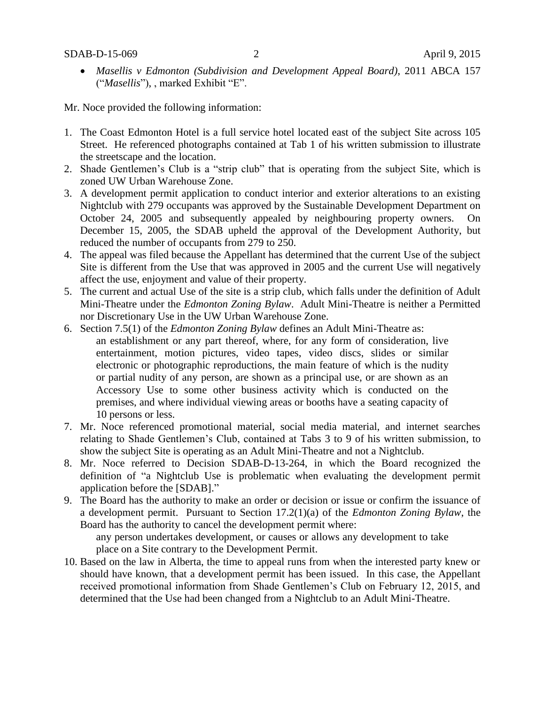*Masellis v Edmonton (Subdivision and Development Appeal Board)*, 2011 ABCA 157 ("*Masellis*"), , marked Exhibit "E".

Mr. Noce provided the following information:

- 1. The Coast Edmonton Hotel is a full service hotel located east of the subject Site across 105 Street. He referenced photographs contained at Tab 1 of his written submission to illustrate the streetscape and the location.
- 2. Shade Gentlemen's Club is a "strip club" that is operating from the subject Site, which is zoned UW Urban Warehouse Zone.
- 3. A development permit application to conduct interior and exterior alterations to an existing Nightclub with 279 occupants was approved by the Sustainable Development Department on October 24, 2005 and subsequently appealed by neighbouring property owners. On December 15, 2005, the SDAB upheld the approval of the Development Authority, but reduced the number of occupants from 279 to 250.
- 4. The appeal was filed because the Appellant has determined that the current Use of the subject Site is different from the Use that was approved in 2005 and the current Use will negatively affect the use, enjoyment and value of their property.
- 5. The current and actual Use of the site is a strip club, which falls under the definition of Adult Mini-Theatre under the *Edmonton Zoning Bylaw*. Adult Mini-Theatre is neither a Permitted nor Discretionary Use in the UW Urban Warehouse Zone.
- 6. Section 7.5(1) of the *Edmonton Zoning Bylaw* defines an Adult Mini-Theatre as: an establishment or any part thereof, where, for any form of consideration, live entertainment, motion pictures, video tapes, video discs, slides or similar electronic or photographic reproductions, the main feature of which is the nudity or partial nudity of any person, are shown as a principal use, or are shown as an Accessory Use to some other business activity which is conducted on the premises, and where individual viewing areas or booths have a seating capacity of 10 persons or less.
- 7. Mr. Noce referenced promotional material, social media material, and internet searches relating to Shade Gentlemen's Club, contained at Tabs 3 to 9 of his written submission, to show the subject Site is operating as an Adult Mini-Theatre and not a Nightclub.
- 8. Mr. Noce referred to Decision SDAB-D-13-264, in which the Board recognized the definition of "a Nightclub Use is problematic when evaluating the development permit application before the [SDAB]."
- 9. The Board has the authority to make an order or decision or issue or confirm the issuance of a development permit. Pursuant to Section 17.2(1)(a) of the *Edmonton Zoning Bylaw*, the Board has the authority to cancel the development permit where:

any person undertakes development, or causes or allows any development to take place on a Site contrary to the Development Permit.

10. Based on the law in Alberta, the time to appeal runs from when the interested party knew or should have known, that a development permit has been issued. In this case, the Appellant received promotional information from Shade Gentlemen's Club on February 12, 2015, and determined that the Use had been changed from a Nightclub to an Adult Mini-Theatre.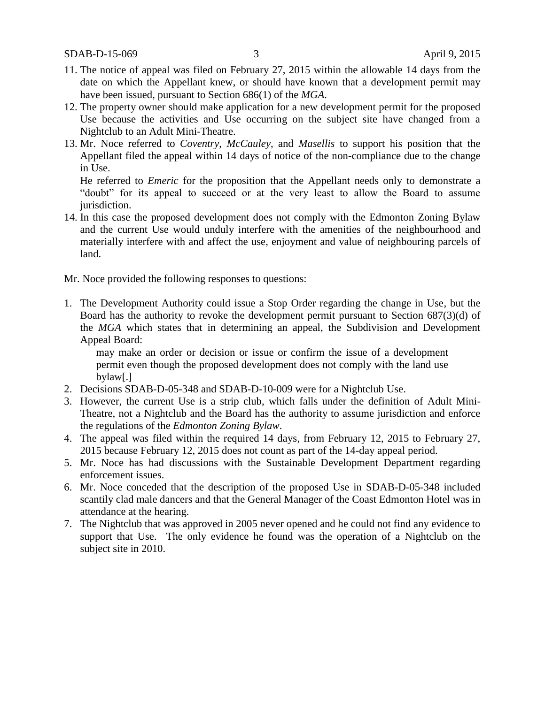- 11. The notice of appeal was filed on February 27, 2015 within the allowable 14 days from the date on which the Appellant knew, or should have known that a development permit may have been issued, pursuant to Section 686(1) of the *MGA*.
- 12. The property owner should make application for a new development permit for the proposed Use because the activities and Use occurring on the subject site have changed from a Nightclub to an Adult Mini-Theatre.
- 13. Mr. Noce referred to *Coventry*, *McCauley*, and *Masellis* to support his position that the Appellant filed the appeal within 14 days of notice of the non-compliance due to the change in Use.

He referred to *Emeric* for the proposition that the Appellant needs only to demonstrate a "doubt" for its appeal to succeed or at the very least to allow the Board to assume jurisdiction.

14. In this case the proposed development does not comply with the Edmonton Zoning Bylaw and the current Use would unduly interfere with the amenities of the neighbourhood and materially interfere with and affect the use, enjoyment and value of neighbouring parcels of land.

Mr. Noce provided the following responses to questions:

1. The Development Authority could issue a Stop Order regarding the change in Use, but the Board has the authority to revoke the development permit pursuant to Section 687(3)(d) of the *MGA* which states that in determining an appeal, the Subdivision and Development Appeal Board:

may make an order or decision or issue or confirm the issue of a development permit even though the proposed development does not comply with the land use bylaw[.]

- 2. Decisions SDAB-D-05-348 and SDAB-D-10-009 were for a Nightclub Use.
- 3. However, the current Use is a strip club, which falls under the definition of Adult Mini-Theatre, not a Nightclub and the Board has the authority to assume jurisdiction and enforce the regulations of the *Edmonton Zoning Bylaw*.
- 4. The appeal was filed within the required 14 days, from February 12, 2015 to February 27, 2015 because February 12, 2015 does not count as part of the 14-day appeal period.
- 5. Mr. Noce has had discussions with the Sustainable Development Department regarding enforcement issues.
- 6. Mr. Noce conceded that the description of the proposed Use in SDAB-D-05-348 included scantily clad male dancers and that the General Manager of the Coast Edmonton Hotel was in attendance at the hearing.
- 7. The Nightclub that was approved in 2005 never opened and he could not find any evidence to support that Use. The only evidence he found was the operation of a Nightclub on the subject site in 2010.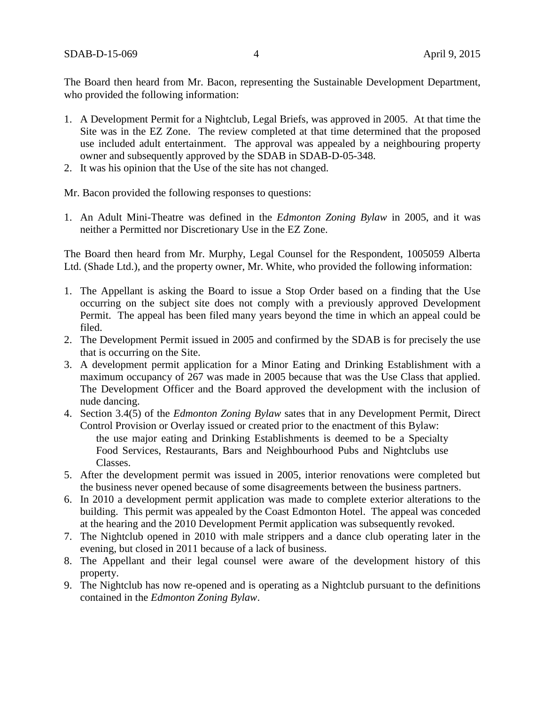The Board then heard from Mr. Bacon, representing the Sustainable Development Department, who provided the following information:

- 1. A Development Permit for a Nightclub, Legal Briefs, was approved in 2005. At that time the Site was in the EZ Zone. The review completed at that time determined that the proposed use included adult entertainment. The approval was appealed by a neighbouring property owner and subsequently approved by the SDAB in SDAB-D-05-348.
- 2. It was his opinion that the Use of the site has not changed.

Mr. Bacon provided the following responses to questions:

1. An Adult Mini-Theatre was defined in the *Edmonton Zoning Bylaw* in 2005, and it was neither a Permitted nor Discretionary Use in the EZ Zone.

The Board then heard from Mr. Murphy, Legal Counsel for the Respondent, 1005059 Alberta Ltd. (Shade Ltd.), and the property owner, Mr. White, who provided the following information:

- 1. The Appellant is asking the Board to issue a Stop Order based on a finding that the Use occurring on the subject site does not comply with a previously approved Development Permit. The appeal has been filed many years beyond the time in which an appeal could be filed.
- 2. The Development Permit issued in 2005 and confirmed by the SDAB is for precisely the use that is occurring on the Site.
- 3. A development permit application for a Minor Eating and Drinking Establishment with a maximum occupancy of 267 was made in 2005 because that was the Use Class that applied. The Development Officer and the Board approved the development with the inclusion of nude dancing.
- 4. Section 3.4(5) of the *Edmonton Zoning Bylaw* sates that in any Development Permit, Direct Control Provision or Overlay issued or created prior to the enactment of this Bylaw: the use major eating and Drinking Establishments is deemed to be a Specialty Food Services, Restaurants, Bars and Neighbourhood Pubs and Nightclubs use Classes.
- 5. After the development permit was issued in 2005, interior renovations were completed but the business never opened because of some disagreements between the business partners.
- 6. In 2010 a development permit application was made to complete exterior alterations to the building. This permit was appealed by the Coast Edmonton Hotel. The appeal was conceded at the hearing and the 2010 Development Permit application was subsequently revoked.
- 7. The Nightclub opened in 2010 with male strippers and a dance club operating later in the evening, but closed in 2011 because of a lack of business.
- 8. The Appellant and their legal counsel were aware of the development history of this property.
- 9. The Nightclub has now re-opened and is operating as a Nightclub pursuant to the definitions contained in the *Edmonton Zoning Bylaw*.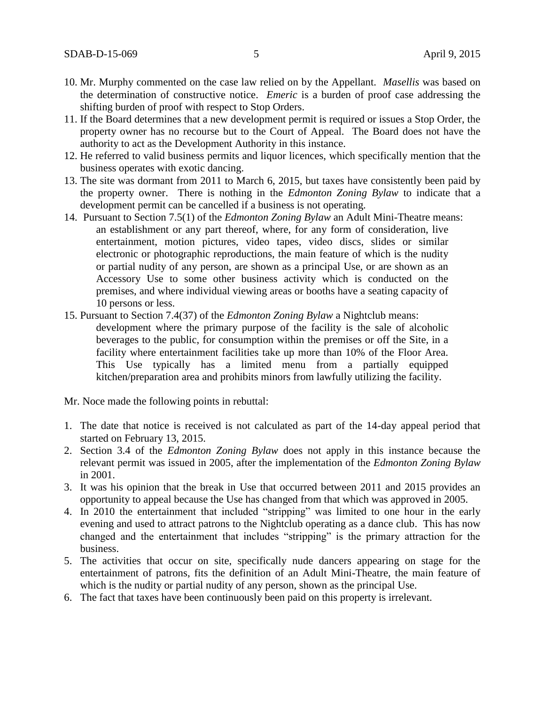- 10. Mr. Murphy commented on the case law relied on by the Appellant. *Masellis* was based on the determination of constructive notice. *Emeric* is a burden of proof case addressing the shifting burden of proof with respect to Stop Orders.
- 11. If the Board determines that a new development permit is required or issues a Stop Order, the property owner has no recourse but to the Court of Appeal. The Board does not have the authority to act as the Development Authority in this instance.
- 12. He referred to valid business permits and liquor licences, which specifically mention that the business operates with exotic dancing.
- 13. The site was dormant from 2011 to March 6, 2015, but taxes have consistently been paid by the property owner. There is nothing in the *Edmonton Zoning Bylaw* to indicate that a development permit can be cancelled if a business is not operating.
- 14. Pursuant to Section 7.5(1) of the *Edmonton Zoning Bylaw* an Adult Mini-Theatre means: an establishment or any part thereof, where, for any form of consideration, live entertainment, motion pictures, video tapes, video discs, slides or similar electronic or photographic reproductions, the main feature of which is the nudity or partial nudity of any person, are shown as a principal Use, or are shown as an Accessory Use to some other business activity which is conducted on the premises, and where individual viewing areas or booths have a seating capacity of 10 persons or less.
- 15. Pursuant to Section 7.4(37) of the *Edmonton Zoning Bylaw* a Nightclub means: development where the primary purpose of the facility is the sale of alcoholic beverages to the public, for consumption within the premises or off the Site, in a facility where entertainment facilities take up more than 10% of the Floor Area. This Use typically has a limited menu from a partially equipped kitchen/preparation area and prohibits minors from lawfully utilizing the facility.

Mr. Noce made the following points in rebuttal:

- 1. The date that notice is received is not calculated as part of the 14-day appeal period that started on February 13, 2015.
- 2. Section 3.4 of the *Edmonton Zoning Bylaw* does not apply in this instance because the relevant permit was issued in 2005, after the implementation of the *Edmonton Zoning Bylaw* in 2001.
- 3. It was his opinion that the break in Use that occurred between 2011 and 2015 provides an opportunity to appeal because the Use has changed from that which was approved in 2005.
- 4. In 2010 the entertainment that included "stripping" was limited to one hour in the early evening and used to attract patrons to the Nightclub operating as a dance club. This has now changed and the entertainment that includes "stripping" is the primary attraction for the business.
- 5. The activities that occur on site, specifically nude dancers appearing on stage for the entertainment of patrons, fits the definition of an Adult Mini-Theatre, the main feature of which is the nudity or partial nudity of any person, shown as the principal Use.
- 6. The fact that taxes have been continuously been paid on this property is irrelevant.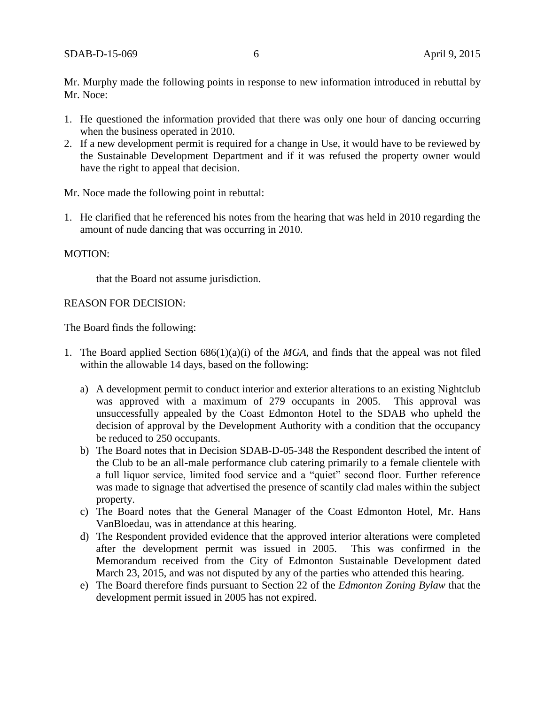Mr. Murphy made the following points in response to new information introduced in rebuttal by Mr. Noce:

- 1. He questioned the information provided that there was only one hour of dancing occurring when the business operated in 2010.
- 2. If a new development permit is required for a change in Use, it would have to be reviewed by the Sustainable Development Department and if it was refused the property owner would have the right to appeal that decision.

Mr. Noce made the following point in rebuttal:

1. He clarified that he referenced his notes from the hearing that was held in 2010 regarding the amount of nude dancing that was occurring in 2010.

#### MOTION:

that the Board not assume jurisdiction.

#### REASON FOR DECISION:

The Board finds the following:

- 1. The Board applied Section 686(1)(a)(i) of the *MGA*, and finds that the appeal was not filed within the allowable 14 days, based on the following:
	- a) A development permit to conduct interior and exterior alterations to an existing Nightclub was approved with a maximum of 279 occupants in 2005. This approval was unsuccessfully appealed by the Coast Edmonton Hotel to the SDAB who upheld the decision of approval by the Development Authority with a condition that the occupancy be reduced to 250 occupants.
	- b) The Board notes that in Decision SDAB-D-05-348 the Respondent described the intent of the Club to be an all-male performance club catering primarily to a female clientele with a full liquor service, limited food service and a "quiet" second floor. Further reference was made to signage that advertised the presence of scantily clad males within the subject property.
	- c) The Board notes that the General Manager of the Coast Edmonton Hotel, Mr. Hans VanBloedau, was in attendance at this hearing.
	- d) The Respondent provided evidence that the approved interior alterations were completed after the development permit was issued in 2005. This was confirmed in the Memorandum received from the City of Edmonton Sustainable Development dated March 23, 2015, and was not disputed by any of the parties who attended this hearing.
	- e) The Board therefore finds pursuant to Section 22 of the *Edmonton Zoning Bylaw* that the development permit issued in 2005 has not expired.